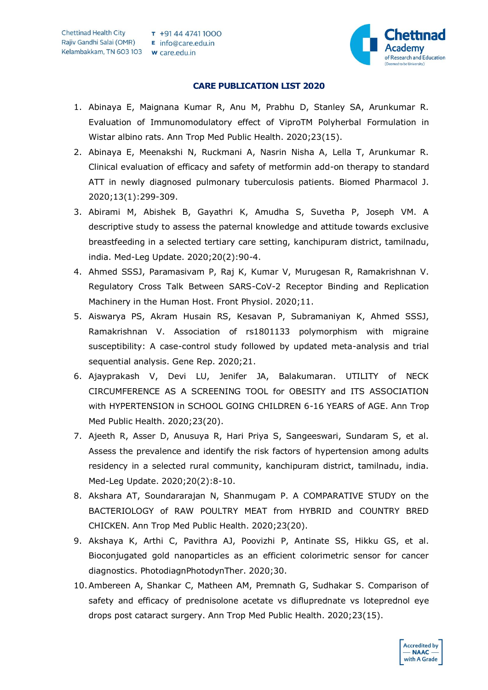

## **CARE PUBLICATION LIST 2020**

- 1. Abinaya E, Maignana Kumar R, Anu M, Prabhu D, Stanley SA, Arunkumar R. Evaluation of Immunomodulatory effect of ViproTM Polyherbal Formulation in Wistar albino rats. Ann Trop Med Public Health. 2020;23(15).
- 2. Abinaya E, Meenakshi N, Ruckmani A, Nasrin Nisha A, Lella T, Arunkumar R. Clinical evaluation of efficacy and safety of metformin add-on therapy to standard ATT in newly diagnosed pulmonary tuberculosis patients. Biomed Pharmacol J. 2020;13(1):299-309.
- 3. Abirami M, Abishek B, Gayathri K, Amudha S, Suvetha P, Joseph VM. A descriptive study to assess the paternal knowledge and attitude towards exclusive breastfeeding in a selected tertiary care setting, kanchipuram district, tamilnadu, india. Med-Leg Update. 2020;20(2):90-4.
- 4. Ahmed SSSJ, Paramasivam P, Raj K, Kumar V, Murugesan R, Ramakrishnan V. Regulatory Cross Talk Between SARS-CoV-2 Receptor Binding and Replication Machinery in the Human Host. Front Physiol. 2020;11.
- 5. Aiswarya PS, Akram Husain RS, Kesavan P, Subramaniyan K, Ahmed SSSJ, Ramakrishnan V. Association of rs1801133 polymorphism with migraine susceptibility: A case-control study followed by updated meta-analysis and trial sequential analysis. Gene Rep. 2020;21.
- 6. Ajayprakash V, Devi LU, Jenifer JA, Balakumaran. UTILITY of NECK CIRCUMFERENCE AS A SCREENING TOOL for OBESITY and ITS ASSOCIATION with HYPERTENSION in SCHOOL GOING CHILDREN 6-16 YEARS of AGE. Ann Trop Med Public Health. 2020;23(20).
- 7. Ajeeth R, Asser D, Anusuya R, Hari Priya S, Sangeeswari, Sundaram S, et al. Assess the prevalence and identify the risk factors of hypertension among adults residency in a selected rural community, kanchipuram district, tamilnadu, india. Med-Leg Update. 2020;20(2):8-10.
- 8. Akshara AT, Soundararajan N, Shanmugam P. A COMPARATIVE STUDY on the BACTERIOLOGY of RAW POULTRY MEAT from HYBRID and COUNTRY BRED CHICKEN. Ann Trop Med Public Health. 2020;23(20).
- 9. Akshaya K, Arthi C, Pavithra AJ, Poovizhi P, Antinate SS, Hikku GS, et al. Bioconjugated gold nanoparticles as an efficient colorimetric sensor for cancer diagnostics. PhotodiagnPhotodynTher. 2020;30.
- 10.Ambereen A, Shankar C, Matheen AM, Premnath G, Sudhakar S. Comparison of safety and efficacy of prednisolone acetate vs difluprednate vs loteprednol eye drops post cataract surgery. Ann Trop Med Public Health. 2020;23(15).

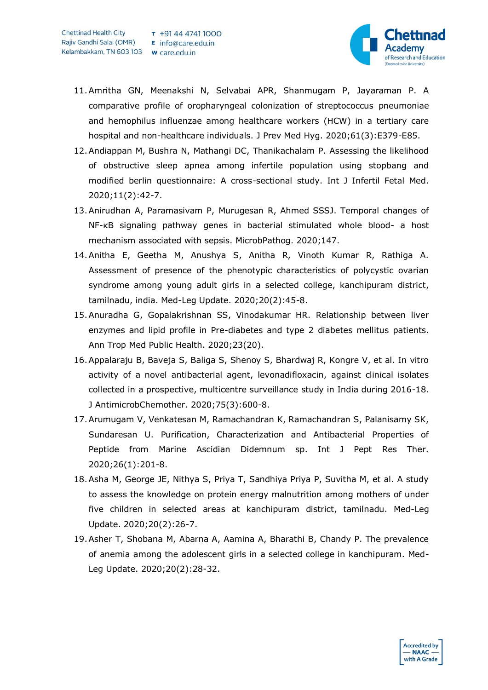

- 11.Amritha GN, Meenakshi N, Selvabai APR, Shanmugam P, Jayaraman P. A comparative profile of oropharyngeal colonization of streptococcus pneumoniae and hemophilus influenzae among healthcare workers (HCW) in a tertiary care hospital and non-healthcare individuals. J Prev Med Hyg. 2020;61(3):E379-E85.
- 12.Andiappan M, Bushra N, Mathangi DC, Thanikachalam P. Assessing the likelihood of obstructive sleep apnea among infertile population using stopbang and modified berlin questionnaire: A cross-sectional study. Int J Infertil Fetal Med. 2020;11(2):42-7.
- 13.Anirudhan A, Paramasivam P, Murugesan R, Ahmed SSSJ. Temporal changes of NF-κB signaling pathway genes in bacterial stimulated whole blood- a host mechanism associated with sepsis. MicrobPathog. 2020;147.
- 14.Anitha E, Geetha M, Anushya S, Anitha R, Vinoth Kumar R, Rathiga A. Assessment of presence of the phenotypic characteristics of polycystic ovarian syndrome among young adult girls in a selected college, kanchipuram district, tamilnadu, india. Med-Leg Update. 2020;20(2):45-8.
- 15.Anuradha G, Gopalakrishnan SS, Vinodakumar HR. Relationship between liver enzymes and lipid profile in Pre-diabetes and type 2 diabetes mellitus patients. Ann Trop Med Public Health. 2020;23(20).
- 16.Appalaraju B, Baveja S, Baliga S, Shenoy S, Bhardwaj R, Kongre V, et al. In vitro activity of a novel antibacterial agent, levonadifloxacin, against clinical isolates collected in a prospective, multicentre surveillance study in India during 2016-18. J AntimicrobChemother. 2020;75(3):600-8.
- 17.Arumugam V, Venkatesan M, Ramachandran K, Ramachandran S, Palanisamy SK, Sundaresan U. Purification, Characterization and Antibacterial Properties of Peptide from Marine Ascidian Didemnum sp. Int J Pept Res Ther. 2020;26(1):201-8.
- 18.Asha M, George JE, Nithya S, Priya T, Sandhiya Priya P, Suvitha M, et al. A study to assess the knowledge on protein energy malnutrition among mothers of under five children in selected areas at kanchipuram district, tamilnadu. Med-Leg Update. 2020;20(2):26-7.
- 19.Asher T, Shobana M, Abarna A, Aamina A, Bharathi B, Chandy P. The prevalence of anemia among the adolescent girls in a selected college in kanchipuram. Med-Leg Update. 2020;20(2):28-32.

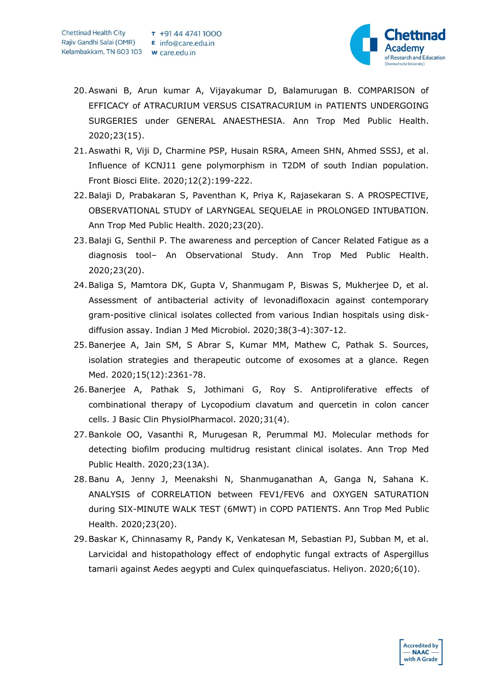

- 20.Aswani B, Arun kumar A, Vijayakumar D, Balamurugan B. COMPARISON of EFFICACY of ATRACURIUM VERSUS CISATRACURIUM in PATIENTS UNDERGOING SURGERIES under GENERAL ANAESTHESIA. Ann Trop Med Public Health. 2020;23(15).
- 21.Aswathi R, Viji D, Charmine PSP, Husain RSRA, Ameen SHN, Ahmed SSSJ, et al. Influence of KCNJ11 gene polymorphism in T2DM of south Indian population. Front Biosci Elite. 2020;12(2):199-222.
- 22.Balaji D, Prabakaran S, Paventhan K, Priya K, Rajasekaran S. A PROSPECTIVE, OBSERVATIONAL STUDY of LARYNGEAL SEQUELAE in PROLONGED INTUBATION. Ann Trop Med Public Health. 2020;23(20).
- 23.Balaji G, Senthil P. The awareness and perception of Cancer Related Fatigue as a diagnosis tool– An Observational Study. Ann Trop Med Public Health. 2020;23(20).
- 24.Baliga S, Mamtora DK, Gupta V, Shanmugam P, Biswas S, Mukherjee D, et al. Assessment of antibacterial activity of levonadifloxacin against contemporary gram-positive clinical isolates collected from various Indian hospitals using diskdiffusion assay. Indian J Med Microbiol. 2020;38(3-4):307-12.
- 25.Banerjee A, Jain SM, S Abrar S, Kumar MM, Mathew C, Pathak S. Sources, isolation strategies and therapeutic outcome of exosomes at a glance. Regen Med. 2020;15(12):2361-78.
- 26.Banerjee A, Pathak S, Jothimani G, Roy S. Antiproliferative effects of combinational therapy of Lycopodium clavatum and quercetin in colon cancer cells. J Basic Clin PhysiolPharmacol. 2020;31(4).
- 27.Bankole OO, Vasanthi R, Murugesan R, Perummal MJ. Molecular methods for detecting biofilm producing multidrug resistant clinical isolates. Ann Trop Med Public Health. 2020;23(13A).
- 28.Banu A, Jenny J, Meenakshi N, Shanmuganathan A, Ganga N, Sahana K. ANALYSIS of CORRELATION between FEV1/FEV6 and OXYGEN SATURATION during SIX-MINUTE WALK TEST (6MWT) in COPD PATIENTS. Ann Trop Med Public Health. 2020;23(20).
- 29.Baskar K, Chinnasamy R, Pandy K, Venkatesan M, Sebastian PJ, Subban M, et al. Larvicidal and histopathology effect of endophytic fungal extracts of Aspergillus tamarii against Aedes aegypti and Culex quinquefasciatus. Heliyon. 2020;6(10).

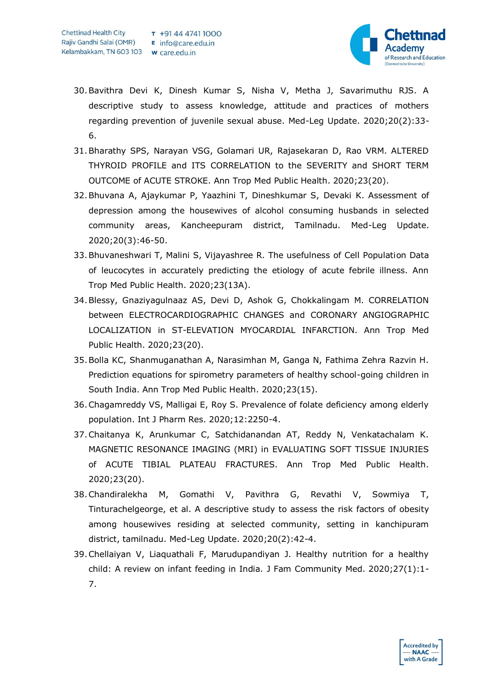

- 30.Bavithra Devi K, Dinesh Kumar S, Nisha V, Metha J, Savarimuthu RJS. A descriptive study to assess knowledge, attitude and practices of mothers regarding prevention of juvenile sexual abuse. Med-Leg Update. 2020;20(2):33- 6.
- 31.Bharathy SPS, Narayan VSG, Golamari UR, Rajasekaran D, Rao VRM. ALTERED THYROID PROFILE and ITS CORRELATION to the SEVERITY and SHORT TERM OUTCOME of ACUTE STROKE. Ann Trop Med Public Health. 2020;23(20).
- 32.Bhuvana A, Ajaykumar P, Yaazhini T, Dineshkumar S, Devaki K. Assessment of depression among the housewives of alcohol consuming husbands in selected community areas, Kancheepuram district, Tamilnadu. Med-Leg Update. 2020;20(3):46-50.
- 33.Bhuvaneshwari T, Malini S, Vijayashree R. The usefulness of Cell Population Data of leucocytes in accurately predicting the etiology of acute febrile illness. Ann Trop Med Public Health. 2020;23(13A).
- 34.Blessy, Gnaziyagulnaaz AS, Devi D, Ashok G, Chokkalingam M. CORRELATION between ELECTROCARDIOGRAPHIC CHANGES and CORONARY ANGIOGRAPHIC LOCALIZATION in ST-ELEVATION MYOCARDIAL INFARCTION. Ann Trop Med Public Health. 2020;23(20).
- 35.Bolla KC, Shanmuganathan A, Narasimhan M, Ganga N, Fathima Zehra Razvin H. Prediction equations for spirometry parameters of healthy school-going children in South India. Ann Trop Med Public Health. 2020;23(15).
- 36.Chagamreddy VS, Malligai E, Roy S. Prevalence of folate deficiency among elderly population. Int J Pharm Res. 2020;12:2250-4.
- 37.Chaitanya K, Arunkumar C, Satchidanandan AT, Reddy N, Venkatachalam K. MAGNETIC RESONANCE IMAGING (MRI) in EVALUATING SOFT TISSUE INJURIES of ACUTE TIBIAL PLATEAU FRACTURES. Ann Trop Med Public Health. 2020;23(20).
- 38.Chandiralekha M, Gomathi V, Pavithra G, Revathi V, Sowmiya T, Tinturachelgeorge, et al. A descriptive study to assess the risk factors of obesity among housewives residing at selected community, setting in kanchipuram district, tamilnadu. Med-Leg Update. 2020;20(2):42-4.
- 39.Chellaiyan V, Liaquathali F, Marudupandiyan J. Healthy nutrition for a healthy child: A review on infant feeding in India. J Fam Community Med. 2020;27(1):1- 7.

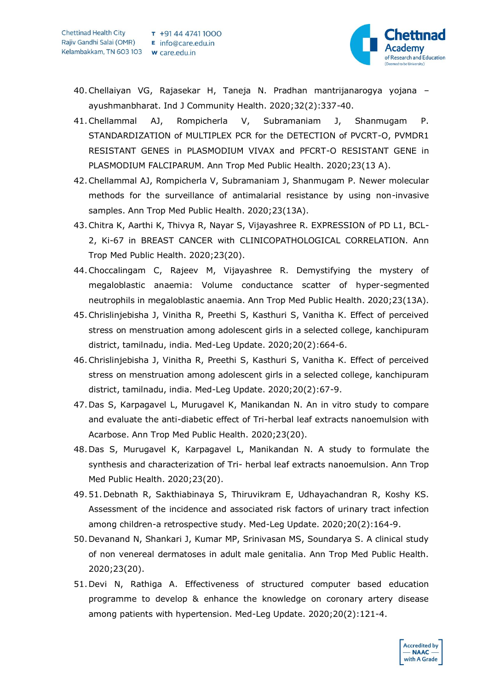

- 40.Chellaiyan VG, Rajasekar H, Taneja N. Pradhan mantrijanarogya yojana ayushmanbharat. Ind J Community Health. 2020;32(2):337-40.
- 41.Chellammal AJ, Rompicherla V, Subramaniam J, Shanmugam P. STANDARDIZATION of MULTIPLEX PCR for the DETECTION of PVCRT-O, PVMDR1 RESISTANT GENES in PLASMODIUM VIVAX and PFCRT-O RESISTANT GENE in PLASMODIUM FALCIPARUM. Ann Trop Med Public Health. 2020;23(13 A).
- 42.Chellammal AJ, Rompicherla V, Subramaniam J, Shanmugam P. Newer molecular methods for the surveillance of antimalarial resistance by using non-invasive samples. Ann Trop Med Public Health. 2020;23(13A).
- 43.Chitra K, Aarthi K, Thivya R, Nayar S, Vijayashree R. EXPRESSION of PD L1, BCL-2, Ki-67 in BREAST CANCER with CLINICOPATHOLOGICAL CORRELATION. Ann Trop Med Public Health. 2020;23(20).
- 44.Choccalingam C, Rajeev M, Vijayashree R. Demystifying the mystery of megaloblastic anaemia: Volume conductance scatter of hyper-segmented neutrophils in megaloblastic anaemia. Ann Trop Med Public Health. 2020;23(13A).
- 45.Chrislinjebisha J, Vinitha R, Preethi S, Kasthuri S, Vanitha K. Effect of perceived stress on menstruation among adolescent girls in a selected college, kanchipuram district, tamilnadu, india. Med-Leg Update. 2020;20(2):664-6.
- 46.Chrislinjebisha J, Vinitha R, Preethi S, Kasthuri S, Vanitha K. Effect of perceived stress on menstruation among adolescent girls in a selected college, kanchipuram district, tamilnadu, india. Med-Leg Update. 2020;20(2):67-9.
- 47.Das S, Karpagavel L, Murugavel K, Manikandan N. An in vitro study to compare and evaluate the anti-diabetic effect of Tri-herbal leaf extracts nanoemulsion with Acarbose. Ann Trop Med Public Health. 2020;23(20).
- 48.Das S, Murugavel K, Karpagavel L, Manikandan N. A study to formulate the synthesis and characterization of Tri- herbal leaf extracts nanoemulsion. Ann Trop Med Public Health. 2020;23(20).
- 49.51.Debnath R, Sakthiabinaya S, Thiruvikram E, Udhayachandran R, Koshy KS. Assessment of the incidence and associated risk factors of urinary tract infection among children-a retrospective study. Med-Leg Update. 2020;20(2):164-9.
- 50.Devanand N, Shankari J, Kumar MP, Srinivasan MS, Soundarya S. A clinical study of non venereal dermatoses in adult male genitalia. Ann Trop Med Public Health. 2020;23(20).
- 51.Devi N, Rathiga A. Effectiveness of structured computer based education programme to develop & enhance the knowledge on coronary artery disease among patients with hypertension. Med-Leg Update. 2020;20(2):121-4.

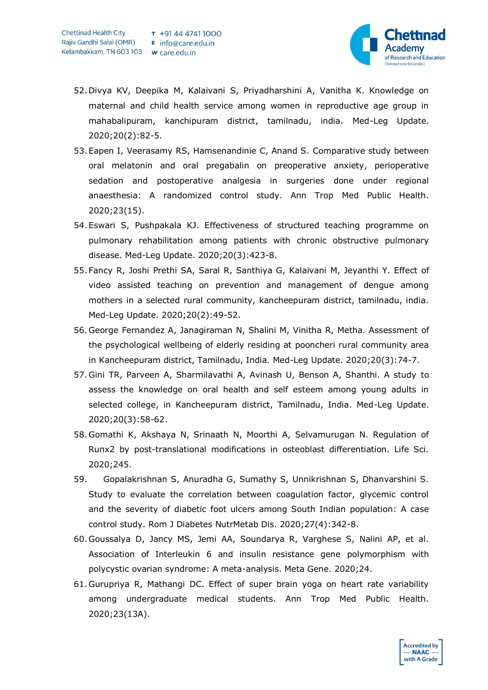

- 52.Divya KV, Deepika M, Kalaivani S, Priyadharshini A, Vanitha K. Knowledge on maternal and child health service among women in reproductive age group in mahabalipuram, kanchipuram district, tamilnadu, india. Med-Leg Update. 2020;20(2):82-5.
- 53.Eapen I, Veerasamy RS, Hamsenandinie C, Anand S. Comparative study between oral melatonin and oral pregabalin on preoperative anxiety, perioperative sedation and postoperative analgesia in surgeries done under regional anaesthesia: A randomized control study. Ann Trop Med Public Health. 2020;23(15).
- 54.Eswari S, Pushpakala KJ. Effectiveness of structured teaching programme on pulmonary rehabilitation among patients with chronic obstructive pulmonary disease. Med-Leg Update. 2020;20(3):423-8.
- 55.Fancy R, Joshi Prethi SA, Saral R, Santhiya G, Kalaivani M, Jeyanthi Y. Effect of video assisted teaching on prevention and management of dengue among mothers in a selected rural community, kancheepuram district, tamilnadu, india. Med-Leg Update. 2020;20(2):49-52.
- 56.George Fernandez A, Janagiraman N, Shalini M, Vinitha R, Metha. Assessment of the psychological wellbeing of elderly residing at pooncheri rural community area in Kancheepuram district, Tamilnadu, India. Med-Leg Update. 2020;20(3):74-7.
- 57.Gini TR, Parveen A, Sharmilavathi A, Avinash U, Benson A, Shanthi. A study to assess the knowledge on oral health and self esteem among young adults in selected college, in Kancheepuram district, Tamilnadu, India. Med-Leg Update. 2020;20(3):58-62.
- 58.Gomathi K, Akshaya N, Srinaath N, Moorthi A, Selvamurugan N. Regulation of Runx2 by post-translational modifications in osteoblast differentiation. Life Sci. 2020;245.
- 59. Gopalakrishnan S, Anuradha G, Sumathy S, Unnikrishnan S, Dhanvarshini S. Study to evaluate the correlation between coagulation factor, glycemic control and the severity of diabetic foot ulcers among South Indian population: A case control study. Rom J Diabetes NutrMetab Dis. 2020;27(4):342-8.
- 60.Goussalya D, Jancy MS, Jemi AA, Soundarya R, Varghese S, Nalini AP, et al. Association of Interleukin 6 and insulin resistance gene polymorphism with polycystic ovarian syndrome: A meta-analysis. Meta Gene. 2020;24.
- 61.Gurupriya R, Mathangi DC. Effect of super brain yoga on heart rate variability among undergraduate medical students. Ann Trop Med Public Health. 2020;23(13A).

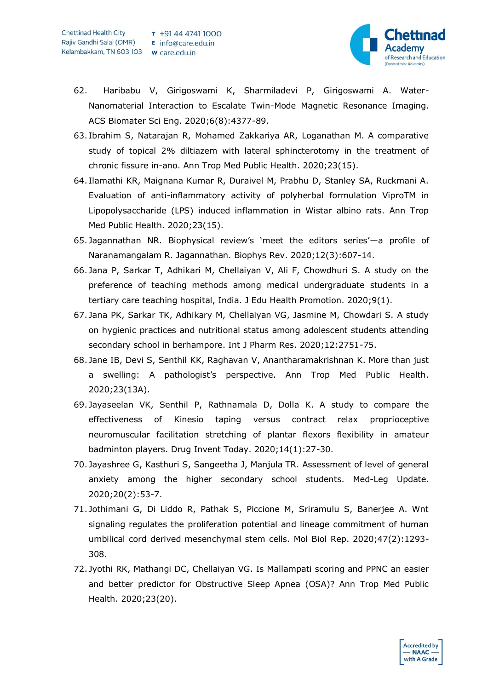

- 62. Haribabu V, Girigoswami K, Sharmiladevi P, Girigoswami A. Water-Nanomaterial Interaction to Escalate Twin-Mode Magnetic Resonance Imaging. ACS Biomater Sci Eng. 2020;6(8):4377-89.
- 63. Ibrahim S, Natarajan R, Mohamed Zakkariya AR, Loganathan M. A comparative study of topical 2% diltiazem with lateral sphincterotomy in the treatment of chronic fissure in-ano. Ann Trop Med Public Health. 2020;23(15).
- 64. Ilamathi KR, Maignana Kumar R, Duraivel M, Prabhu D, Stanley SA, Ruckmani A. Evaluation of anti-inflammatory activity of polyherbal formulation ViproTM in Lipopolysaccharide (LPS) induced inflammation in Wistar albino rats. Ann Trop Med Public Health. 2020;23(15).
- 65. Jagannathan NR. Biophysical review's 'meet the editors series'—a profile of Naranamangalam R. Jagannathan. Biophys Rev. 2020;12(3):607-14.
- 66. Jana P, Sarkar T, Adhikari M, Chellaiyan V, Ali F, Chowdhuri S. A study on the preference of teaching methods among medical undergraduate students in a tertiary care teaching hospital, India. J Edu Health Promotion. 2020;9(1).
- 67. Jana PK, Sarkar TK, Adhikary M, Chellaiyan VG, Jasmine M, Chowdari S. A study on hygienic practices and nutritional status among adolescent students attending secondary school in berhampore. Int J Pharm Res. 2020;12:2751-75.
- 68. Jane IB, Devi S, Senthil KK, Raghavan V, Anantharamakrishnan K. More than just a swelling: A pathologist's perspective. Ann Trop Med Public Health. 2020;23(13A).
- 69. Jayaseelan VK, Senthil P, Rathnamala D, Dolla K. A study to compare the effectiveness of Kinesio taping versus contract relax proprioceptive neuromuscular facilitation stretching of plantar flexors flexibility in amateur badminton players. Drug Invent Today. 2020;14(1):27-30.
- 70. Jayashree G, Kasthuri S, Sangeetha J, Manjula TR. Assessment of level of general anxiety among the higher secondary school students. Med-Leg Update. 2020;20(2):53-7.
- 71. Jothimani G, Di Liddo R, Pathak S, Piccione M, Sriramulu S, Banerjee A. Wnt signaling regulates the proliferation potential and lineage commitment of human umbilical cord derived mesenchymal stem cells. Mol Biol Rep. 2020;47(2):1293- 308.
- 72. Jyothi RK, Mathangi DC, Chellaiyan VG. Is Mallampati scoring and PPNC an easier and better predictor for Obstructive Sleep Apnea (OSA)? Ann Trop Med Public Health. 2020;23(20).

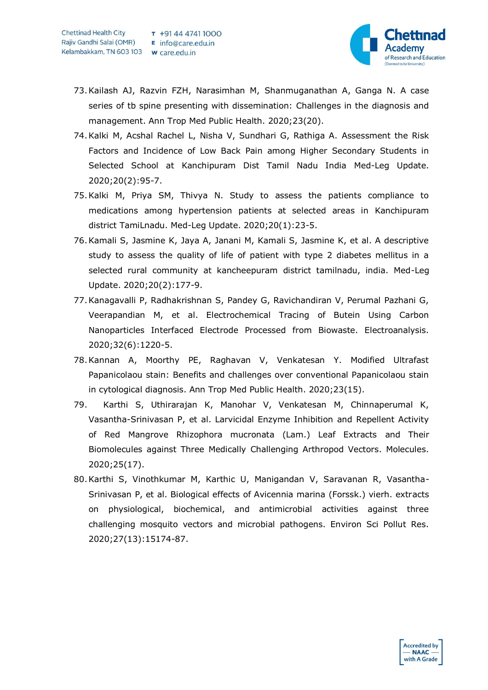

- 73.Kailash AJ, Razvin FZH, Narasimhan M, Shanmuganathan A, Ganga N. A case series of tb spine presenting with dissemination: Challenges in the diagnosis and management. Ann Trop Med Public Health. 2020;23(20).
- 74.Kalki M, Acshal Rachel L, Nisha V, Sundhari G, Rathiga A. Assessment the Risk Factors and Incidence of Low Back Pain among Higher Secondary Students in Selected School at Kanchipuram Dist Tamil Nadu India Med-Leg Update. 2020;20(2):95-7.
- 75.Kalki M, Priya SM, Thivya N. Study to assess the patients compliance to medications among hypertension patients at selected areas in Kanchipuram district TamiLnadu. Med-Leg Update. 2020;20(1):23-5.
- 76.Kamali S, Jasmine K, Jaya A, Janani M, Kamali S, Jasmine K, et al. A descriptive study to assess the quality of life of patient with type 2 diabetes mellitus in a selected rural community at kancheepuram district tamilnadu, india. Med-Leg Update. 2020;20(2):177-9.
- 77.Kanagavalli P, Radhakrishnan S, Pandey G, Ravichandiran V, Perumal Pazhani G, Veerapandian M, et al. Electrochemical Tracing of Butein Using Carbon Nanoparticles Interfaced Electrode Processed from Biowaste. Electroanalysis. 2020;32(6):1220-5.
- 78.Kannan A, Moorthy PE, Raghavan V, Venkatesan Y. Modified Ultrafast Papanicolaou stain: Benefits and challenges over conventional Papanicolaou stain in cytological diagnosis. Ann Trop Med Public Health. 2020;23(15).
- 79. Karthi S, Uthirarajan K, Manohar V, Venkatesan M, Chinnaperumal K, Vasantha-Srinivasan P, et al. Larvicidal Enzyme Inhibition and Repellent Activity of Red Mangrove Rhizophora mucronata (Lam.) Leaf Extracts and Their Biomolecules against Three Medically Challenging Arthropod Vectors. Molecules. 2020;25(17).
- 80.Karthi S, Vinothkumar M, Karthic U, Manigandan V, Saravanan R, Vasantha-Srinivasan P, et al. Biological effects of Avicennia marina (Forssk.) vierh. extracts on physiological, biochemical, and antimicrobial activities against three challenging mosquito vectors and microbial pathogens. Environ Sci Pollut Res. 2020;27(13):15174-87.

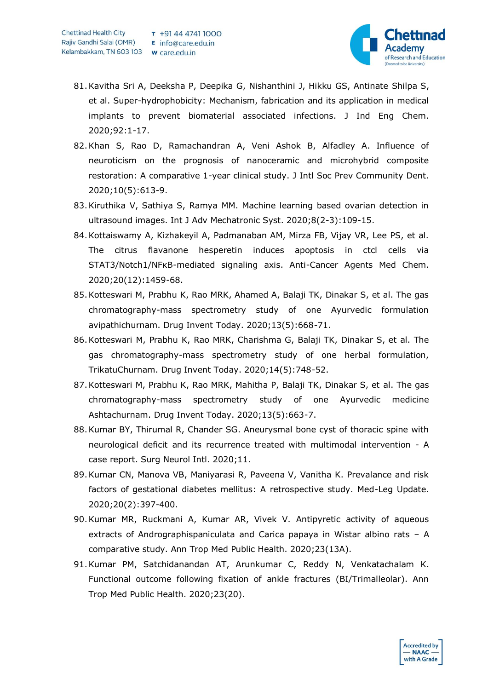

- 81.Kavitha Sri A, Deeksha P, Deepika G, Nishanthini J, Hikku GS, Antinate Shilpa S, et al. Super-hydrophobicity: Mechanism, fabrication and its application in medical implants to prevent biomaterial associated infections. J Ind Eng Chem. 2020;92:1-17.
- 82.Khan S, Rao D, Ramachandran A, Veni Ashok B, Alfadley A. Influence of neuroticism on the prognosis of nanoceramic and microhybrid composite restoration: A comparative 1-year clinical study. J Intl Soc Prev Community Dent. 2020;10(5):613-9.
- 83.Kiruthika V, Sathiya S, Ramya MM. Machine learning based ovarian detection in ultrasound images. Int J Adv Mechatronic Syst. 2020;8(2-3):109-15.
- 84.Kottaiswamy A, Kizhakeyil A, Padmanaban AM, Mirza FB, Vijay VR, Lee PS, et al. The citrus flavanone hesperetin induces apoptosis in ctcl cells via STAT3/Notch1/NFκB-mediated signaling axis. Anti-Cancer Agents Med Chem. 2020;20(12):1459-68.
- 85.Kotteswari M, Prabhu K, Rao MRK, Ahamed A, Balaji TK, Dinakar S, et al. The gas chromatography-mass spectrometry study of one Ayurvedic formulation avipathichurnam. Drug Invent Today. 2020;13(5):668-71.
- 86.Kotteswari M, Prabhu K, Rao MRK, Charishma G, Balaji TK, Dinakar S, et al. The gas chromatography-mass spectrometry study of one herbal formulation, TrikatuChurnam. Drug Invent Today. 2020;14(5):748-52.
- 87.Kotteswari M, Prabhu K, Rao MRK, Mahitha P, Balaji TK, Dinakar S, et al. The gas chromatography-mass spectrometry study of one Ayurvedic medicine Ashtachurnam. Drug Invent Today. 2020;13(5):663-7.
- 88.Kumar BY, Thirumal R, Chander SG. Aneurysmal bone cyst of thoracic spine with neurological deficit and its recurrence treated with multimodal intervention - A case report. Surg Neurol Intl. 2020;11.
- 89.Kumar CN, Manova VB, Maniyarasi R, Paveena V, Vanitha K. Prevalance and risk factors of gestational diabetes mellitus: A retrospective study. Med-Leg Update. 2020;20(2):397-400.
- 90.Kumar MR, Ruckmani A, Kumar AR, Vivek V. Antipyretic activity of aqueous extracts of Andrographispaniculata and Carica papaya in Wistar albino rats – A comparative study. Ann Trop Med Public Health. 2020;23(13A).
- 91.Kumar PM, Satchidanandan AT, Arunkumar C, Reddy N, Venkatachalam K. Functional outcome following fixation of ankle fractures (BI/Trimalleolar). Ann Trop Med Public Health. 2020;23(20).

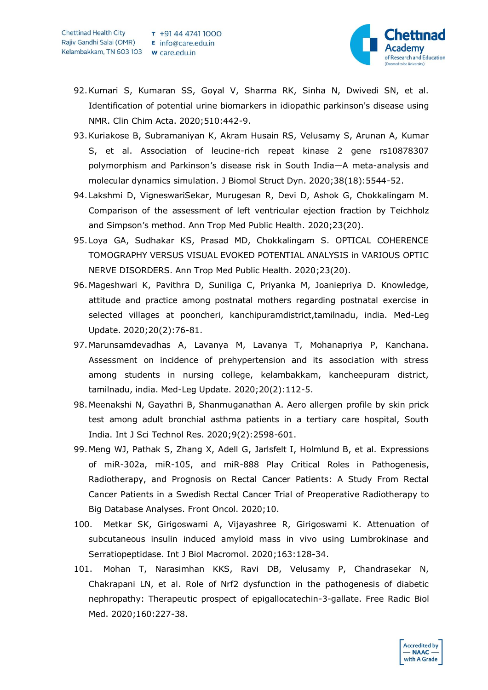

- 92.Kumari S, Kumaran SS, Goyal V, Sharma RK, Sinha N, Dwivedi SN, et al. Identification of potential urine biomarkers in idiopathic parkinson's disease using NMR. Clin Chim Acta. 2020;510:442-9.
- 93.Kuriakose B, Subramaniyan K, Akram Husain RS, Velusamy S, Arunan A, Kumar S, et al. Association of leucine-rich repeat kinase 2 gene rs10878307 polymorphism and Parkinson's disease risk in South India—A meta-analysis and molecular dynamics simulation. J Biomol Struct Dyn. 2020;38(18):5544-52.
- 94.Lakshmi D, VigneswariSekar, Murugesan R, Devi D, Ashok G, Chokkalingam M. Comparison of the assessment of left ventricular ejection fraction by Teichholz and Simpson's method. Ann Trop Med Public Health. 2020;23(20).
- 95.Loya GA, Sudhakar KS, Prasad MD, Chokkalingam S. OPTICAL COHERENCE TOMOGRAPHY VERSUS VISUAL EVOKED POTENTIAL ANALYSIS in VARIOUS OPTIC NERVE DISORDERS. Ann Trop Med Public Health. 2020;23(20).
- 96.Mageshwari K, Pavithra D, Suniliga C, Priyanka M, Joaniepriya D. Knowledge, attitude and practice among postnatal mothers regarding postnatal exercise in selected villages at pooncheri, kanchipuramdistrict,tamilnadu, india. Med-Leg Update. 2020;20(2):76-81.
- 97.Marunsamdevadhas A, Lavanya M, Lavanya T, Mohanapriya P, Kanchana. Assessment on incidence of prehypertension and its association with stress among students in nursing college, kelambakkam, kancheepuram district, tamilnadu, india. Med-Leg Update. 2020;20(2):112-5.
- 98.Meenakshi N, Gayathri B, Shanmuganathan A. Aero allergen profile by skin prick test among adult bronchial asthma patients in a tertiary care hospital, South India. Int J Sci Technol Res. 2020;9(2):2598-601.
- 99.Meng WJ, Pathak S, Zhang X, Adell G, Jarlsfelt I, Holmlund B, et al. Expressions of miR-302a, miR-105, and miR-888 Play Critical Roles in Pathogenesis, Radiotherapy, and Prognosis on Rectal Cancer Patients: A Study From Rectal Cancer Patients in a Swedish Rectal Cancer Trial of Preoperative Radiotherapy to Big Database Analyses. Front Oncol. 2020;10.
- 100. Metkar SK, Girigoswami A, Vijayashree R, Girigoswami K. Attenuation of subcutaneous insulin induced amyloid mass in vivo using Lumbrokinase and Serratiopeptidase. Int J Biol Macromol. 2020;163:128-34.
- 101. Mohan T, Narasimhan KKS, Ravi DB, Velusamy P, Chandrasekar N, Chakrapani LN, et al. Role of Nrf2 dysfunction in the pathogenesis of diabetic nephropathy: Therapeutic prospect of epigallocatechin-3-gallate. Free Radic Biol Med. 2020;160:227-38.

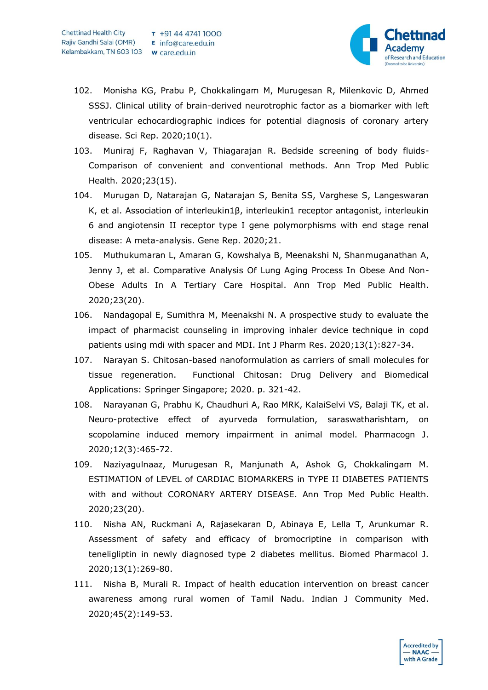

- 102. Monisha KG, Prabu P, Chokkalingam M, Murugesan R, Milenkovic D, Ahmed SSSJ. Clinical utility of brain-derived neurotrophic factor as a biomarker with left ventricular echocardiographic indices for potential diagnosis of coronary artery disease. Sci Rep. 2020;10(1).
- 103. Muniraj F, Raghavan V, Thiagarajan R. Bedside screening of body fluids-Comparison of convenient and conventional methods. Ann Trop Med Public Health. 2020;23(15).
- 104. Murugan D, Natarajan G, Natarajan S, Benita SS, Varghese S, Langeswaran K, et al. Association of interleukin1β, interleukin1 receptor antagonist, interleukin 6 and angiotensin II receptor type I gene polymorphisms with end stage renal disease: A meta-analysis. Gene Rep. 2020;21.
- 105. Muthukumaran L, Amaran G, Kowshalya B, Meenakshi N, Shanmuganathan A, Jenny J, et al. Comparative Analysis Of Lung Aging Process In Obese And Non-Obese Adults In A Tertiary Care Hospital. Ann Trop Med Public Health. 2020;23(20).
- 106. Nandagopal E, Sumithra M, Meenakshi N. A prospective study to evaluate the impact of pharmacist counseling in improving inhaler device technique in copd patients using mdi with spacer and MDI. Int J Pharm Res. 2020;13(1):827-34.
- 107. Narayan S. Chitosan-based nanoformulation as carriers of small molecules for tissue regeneration. Functional Chitosan: Drug Delivery and Biomedical Applications: Springer Singapore; 2020. p. 321-42.
- 108. Narayanan G, Prabhu K, Chaudhuri A, Rao MRK, KalaiSelvi VS, Balaji TK, et al. Neuro-protective effect of ayurveda formulation, saraswatharishtam, on scopolamine induced memory impairment in animal model. Pharmacogn J. 2020;12(3):465-72.
- 109. Naziyagulnaaz, Murugesan R, Manjunath A, Ashok G, Chokkalingam M. ESTIMATION of LEVEL of CARDIAC BIOMARKERS in TYPE II DIABETES PATIENTS with and without CORONARY ARTERY DISEASE. Ann Trop Med Public Health. 2020;23(20).
- 110. Nisha AN, Ruckmani A, Rajasekaran D, Abinaya E, Lella T, Arunkumar R. Assessment of safety and efficacy of bromocriptine in comparison with teneligliptin in newly diagnosed type 2 diabetes mellitus. Biomed Pharmacol J. 2020;13(1):269-80.
- 111. Nisha B, Murali R. Impact of health education intervention on breast cancer awareness among rural women of Tamil Nadu. Indian J Community Med. 2020;45(2):149-53.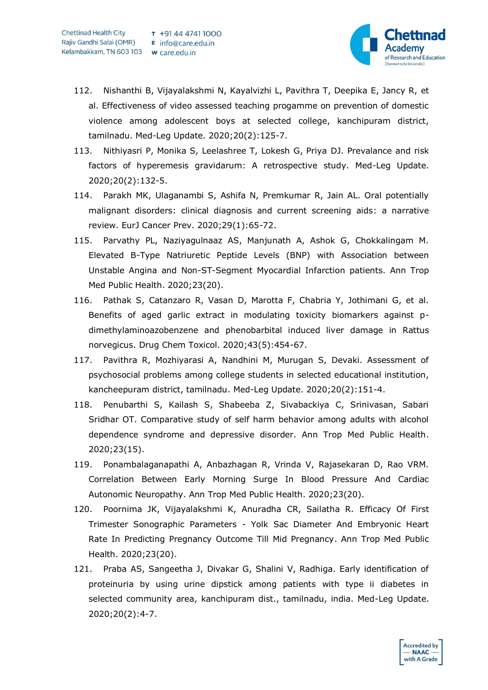

- 112. Nishanthi B, Vijayalakshmi N, Kayalvizhi L, Pavithra T, Deepika E, Jancy R, et al. Effectiveness of video assessed teaching progamme on prevention of domestic violence among adolescent boys at selected college, kanchipuram district, tamilnadu. Med-Leg Update. 2020;20(2):125-7.
- 113. Nithiyasri P, Monika S, Leelashree T, Lokesh G, Priya DJ. Prevalance and risk factors of hyperemesis gravidarum: A retrospective study. Med-Leg Update. 2020;20(2):132-5.
- 114. Parakh MK, Ulaganambi S, Ashifa N, Premkumar R, Jain AL. Oral potentially malignant disorders: clinical diagnosis and current screening aids: a narrative review. EurJ Cancer Prev. 2020;29(1):65-72.
- 115. Parvathy PL, Naziyagulnaaz AS, Manjunath A, Ashok G, Chokkalingam M. Elevated B-Type Natriuretic Peptide Levels (BNP) with Association between Unstable Angina and Non-ST-Segment Myocardial Infarction patients. Ann Trop Med Public Health. 2020;23(20).
- 116. Pathak S, Catanzaro R, Vasan D, Marotta F, Chabria Y, Jothimani G, et al. Benefits of aged garlic extract in modulating toxicity biomarkers against pdimethylaminoazobenzene and phenobarbital induced liver damage in Rattus norvegicus. Drug Chem Toxicol. 2020;43(5):454-67.
- 117. Pavithra R, Mozhiyarasi A, Nandhini M, Murugan S, Devaki. Assessment of psychosocial problems among college students in selected educational institution, kancheepuram district, tamilnadu. Med-Leg Update. 2020;20(2):151-4.
- 118. Penubarthi S, Kailash S, Shabeeba Z, Sivabackiya C, Srinivasan, Sabari Sridhar OT. Comparative study of self harm behavior among adults with alcohol dependence syndrome and depressive disorder. Ann Trop Med Public Health. 2020;23(15).
- 119. Ponambalaganapathi A, Anbazhagan R, Vrinda V, Rajasekaran D, Rao VRM. Correlation Between Early Morning Surge In Blood Pressure And Cardiac Autonomic Neuropathy. Ann Trop Med Public Health. 2020;23(20).
- 120. Poornima JK, Vijayalakshmi K, Anuradha CR, Sailatha R. Efficacy Of First Trimester Sonographic Parameters - Yolk Sac Diameter And Embryonic Heart Rate In Predicting Pregnancy Outcome Till Mid Pregnancy. Ann Trop Med Public Health. 2020;23(20).
- 121. Praba AS, Sangeetha J, Divakar G, Shalini V, Radhiga. Early identification of proteinuria by using urine dipstick among patients with type ii diabetes in selected community area, kanchipuram dist., tamilnadu, india. Med-Leg Update. 2020;20(2):4-7.

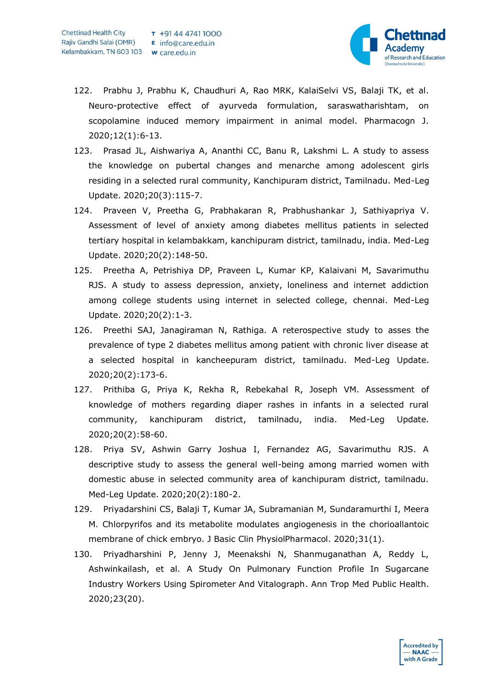

- 122. Prabhu J, Prabhu K, Chaudhuri A, Rao MRK, KalaiSelvi VS, Balaji TK, et al. Neuro-protective effect of ayurveda formulation, saraswatharishtam, on scopolamine induced memory impairment in animal model. Pharmacogn J. 2020;12(1):6-13.
- 123. Prasad JL, Aishwariya A, Ananthi CC, Banu R, Lakshmi L. A study to assess the knowledge on pubertal changes and menarche among adolescent girls residing in a selected rural community, Kanchipuram district, Tamilnadu. Med-Leg Update. 2020;20(3):115-7.
- 124. Praveen V, Preetha G, Prabhakaran R, Prabhushankar J, Sathiyapriya V. Assessment of level of anxiety among diabetes mellitus patients in selected tertiary hospital in kelambakkam, kanchipuram district, tamilnadu, india. Med-Leg Update. 2020;20(2):148-50.
- 125. Preetha A, Petrishiya DP, Praveen L, Kumar KP, Kalaivani M, Savarimuthu RJS. A study to assess depression, anxiety, loneliness and internet addiction among college students using internet in selected college, chennai. Med-Leg Update. 2020;20(2):1-3.
- 126. Preethi SAJ, Janagiraman N, Rathiga. A reterospective study to asses the prevalence of type 2 diabetes mellitus among patient with chronic liver disease at a selected hospital in kancheepuram district, tamilnadu. Med-Leg Update. 2020;20(2):173-6.
- 127. Prithiba G, Priya K, Rekha R, Rebekahal R, Joseph VM. Assessment of knowledge of mothers regarding diaper rashes in infants in a selected rural community, kanchipuram district, tamilnadu, india. Med-Leg Update. 2020;20(2):58-60.
- 128. Priya SV, Ashwin Garry Joshua I, Fernandez AG, Savarimuthu RJS. A descriptive study to assess the general well-being among married women with domestic abuse in selected community area of kanchipuram district, tamilnadu. Med-Leg Update. 2020;20(2):180-2.
- 129. Priyadarshini CS, Balaji T, Kumar JA, Subramanian M, Sundaramurthi I, Meera M. Chlorpyrifos and its metabolite modulates angiogenesis in the chorioallantoic membrane of chick embryo. J Basic Clin PhysiolPharmacol. 2020;31(1).
- 130. Priyadharshini P, Jenny J, Meenakshi N, Shanmuganathan A, Reddy L, Ashwinkailash, et al. A Study On Pulmonary Function Profile In Sugarcane Industry Workers Using Spirometer And Vitalograph. Ann Trop Med Public Health. 2020;23(20).

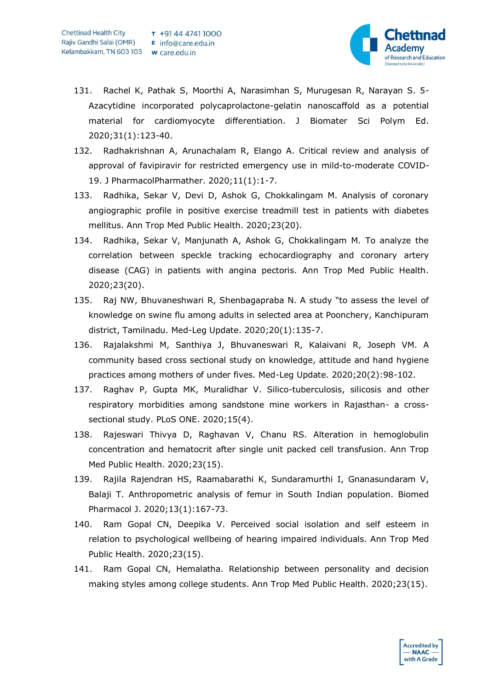

- 131. Rachel K, Pathak S, Moorthi A, Narasimhan S, Murugesan R, Narayan S. 5- Azacytidine incorporated polycaprolactone-gelatin nanoscaffold as a potential material for cardiomyocyte differentiation. J Biomater Sci Polym Ed. 2020;31(1):123-40.
- 132. Radhakrishnan A, Arunachalam R, Elango A. Critical review and analysis of approval of favipiravir for restricted emergency use in mild-to-moderate COVID-19. J PharmacolPharmather. 2020;11(1):1-7.
- 133. Radhika, Sekar V, Devi D, Ashok G, Chokkalingam M. Analysis of coronary angiographic profile in positive exercise treadmill test in patients with diabetes mellitus. Ann Trop Med Public Health. 2020;23(20).
- 134. Radhika, Sekar V, Manjunath A, Ashok G, Chokkalingam M. To analyze the correlation between speckle tracking echocardiography and coronary artery disease (CAG) in patients with angina pectoris. Ann Trop Med Public Health. 2020;23(20).
- 135. Raj NW, Bhuvaneshwari R, Shenbagapraba N. A study "to assess the level of knowledge on swine flu among adults in selected area at Poonchery, Kanchipuram district, Tamilnadu. Med-Leg Update. 2020;20(1):135-7.
- 136. Rajalakshmi M, Santhiya J, Bhuvaneswari R, Kalaivani R, Joseph VM. A community based cross sectional study on knowledge, attitude and hand hygiene practices among mothers of under fives. Med-Leg Update. 2020;20(2):98-102.
- 137. Raghav P, Gupta MK, Muralidhar V. Silico-tuberculosis, silicosis and other respiratory morbidities among sandstone mine workers in Rajasthan- a crosssectional study. PLoS ONE. 2020;15(4).
- 138. Rajeswari Thivya D, Raghavan V, Chanu RS. Alteration in hemoglobulin concentration and hematocrit after single unit packed cell transfusion. Ann Trop Med Public Health. 2020;23(15).
- 139. Rajila Rajendran HS, Raamabarathi K, Sundaramurthi I, Gnanasundaram V, Balaji T. Anthropometric analysis of femur in South Indian population. Biomed Pharmacol J. 2020;13(1):167-73.
- 140. Ram Gopal CN, Deepika V. Perceived social isolation and self esteem in relation to psychological wellbeing of hearing impaired individuals. Ann Trop Med Public Health. 2020;23(15).
- 141. Ram Gopal CN, Hemalatha. Relationship between personality and decision making styles among college students. Ann Trop Med Public Health. 2020;23(15).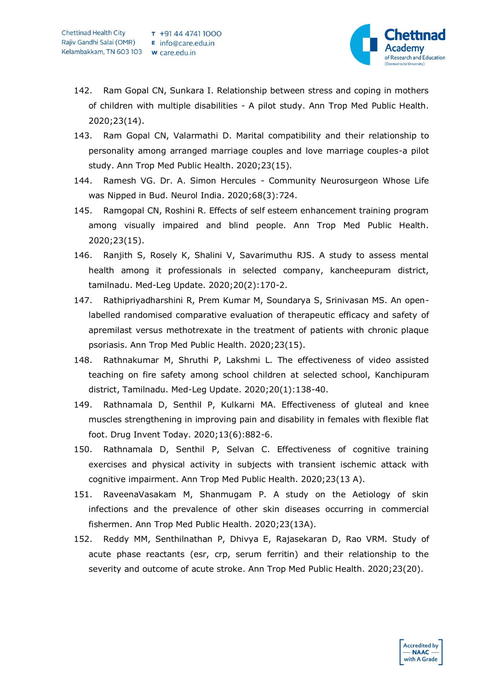

- 142. Ram Gopal CN, Sunkara I. Relationship between stress and coping in mothers of children with multiple disabilities - A pilot study. Ann Trop Med Public Health. 2020;23(14).
- 143. Ram Gopal CN, Valarmathi D. Marital compatibility and their relationship to personality among arranged marriage couples and love marriage couples-a pilot study. Ann Trop Med Public Health. 2020;23(15).
- 144. Ramesh VG. Dr. A. Simon Hercules Community Neurosurgeon Whose Life was Nipped in Bud. Neurol India. 2020;68(3):724.
- 145. Ramgopal CN, Roshini R. Effects of self esteem enhancement training program among visually impaired and blind people. Ann Trop Med Public Health. 2020;23(15).
- 146. Ranjith S, Rosely K, Shalini V, Savarimuthu RJS. A study to assess mental health among it professionals in selected company, kancheepuram district, tamilnadu. Med-Leg Update. 2020;20(2):170-2.
- 147. Rathipriyadharshini R, Prem Kumar M, Soundarya S, Srinivasan MS. An openlabelled randomised comparative evaluation of therapeutic efficacy and safety of apremilast versus methotrexate in the treatment of patients with chronic plaque psoriasis. Ann Trop Med Public Health. 2020;23(15).
- 148. Rathnakumar M, Shruthi P, Lakshmi L. The effectiveness of video assisted teaching on fire safety among school children at selected school, Kanchipuram district, Tamilnadu. Med-Leg Update. 2020;20(1):138-40.
- 149. Rathnamala D, Senthil P, Kulkarni MA. Effectiveness of gluteal and knee muscles strengthening in improving pain and disability in females with flexible flat foot. Drug Invent Today. 2020;13(6):882-6.
- 150. Rathnamala D, Senthil P, Selvan C. Effectiveness of cognitive training exercises and physical activity in subjects with transient ischemic attack with cognitive impairment. Ann Trop Med Public Health. 2020;23(13 A).
- 151. RaveenaVasakam M, Shanmugam P. A study on the Aetiology of skin infections and the prevalence of other skin diseases occurring in commercial fishermen. Ann Trop Med Public Health. 2020;23(13A).
- 152. Reddy MM, Senthilnathan P, Dhivya E, Rajasekaran D, Rao VRM. Study of acute phase reactants (esr, crp, serum ferritin) and their relationship to the severity and outcome of acute stroke. Ann Trop Med Public Health. 2020;23(20).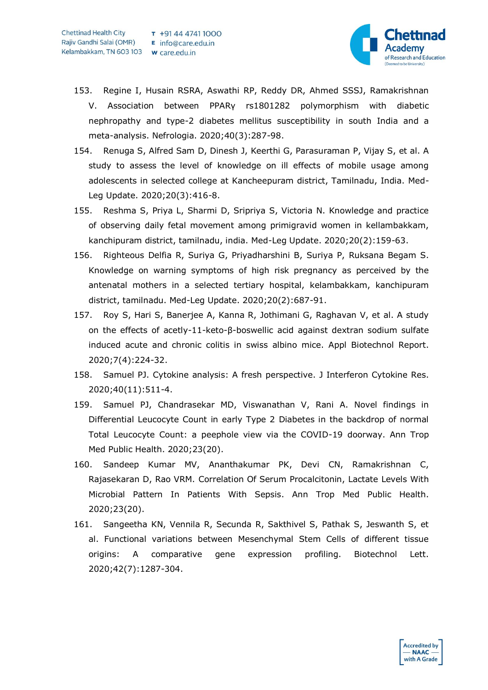

- 153. Regine I, Husain RSRA, Aswathi RP, Reddy DR, Ahmed SSSJ, Ramakrishnan V. Association between PPARγ rs1801282 polymorphism with diabetic nephropathy and type-2 diabetes mellitus susceptibility in south India and a meta-analysis. Nefrologia. 2020;40(3):287-98.
- 154. Renuga S, Alfred Sam D, Dinesh J, Keerthi G, Parasuraman P, Vijay S, et al. A study to assess the level of knowledge on ill effects of mobile usage among adolescents in selected college at Kancheepuram district, Tamilnadu, India. Med-Leg Update. 2020;20(3):416-8.
- 155. Reshma S, Priya L, Sharmi D, Sripriya S, Victoria N. Knowledge and practice of observing daily fetal movement among primigravid women in kellambakkam, kanchipuram district, tamilnadu, india. Med-Leg Update. 2020;20(2):159-63.
- 156. Righteous Delfia R, Suriya G, Priyadharshini B, Suriya P, Ruksana Begam S. Knowledge on warning symptoms of high risk pregnancy as perceived by the antenatal mothers in a selected tertiary hospital, kelambakkam, kanchipuram district, tamilnadu. Med-Leg Update. 2020;20(2):687-91.
- 157. Roy S, Hari S, Banerjee A, Kanna R, Jothimani G, Raghavan V, et al. A study on the effects of acetly-11-keto-β-boswellic acid against dextran sodium sulfate induced acute and chronic colitis in swiss albino mice. Appl Biotechnol Report. 2020;7(4):224-32.
- 158. Samuel PJ. Cytokine analysis: A fresh perspective. J Interferon Cytokine Res. 2020;40(11):511-4.
- 159. Samuel PJ, Chandrasekar MD, Viswanathan V, Rani A. Novel findings in Differential Leucocyte Count in early Type 2 Diabetes in the backdrop of normal Total Leucocyte Count: a peephole view via the COVID-19 doorway. Ann Trop Med Public Health. 2020;23(20).
- 160. Sandeep Kumar MV, Ananthakumar PK, Devi CN, Ramakrishnan C, Rajasekaran D, Rao VRM. Correlation Of Serum Procalcitonin, Lactate Levels With Microbial Pattern In Patients With Sepsis. Ann Trop Med Public Health. 2020;23(20).
- 161. Sangeetha KN, Vennila R, Secunda R, Sakthivel S, Pathak S, Jeswanth S, et al. Functional variations between Mesenchymal Stem Cells of different tissue origins: A comparative gene expression profiling. Biotechnol Lett. 2020;42(7):1287-304.

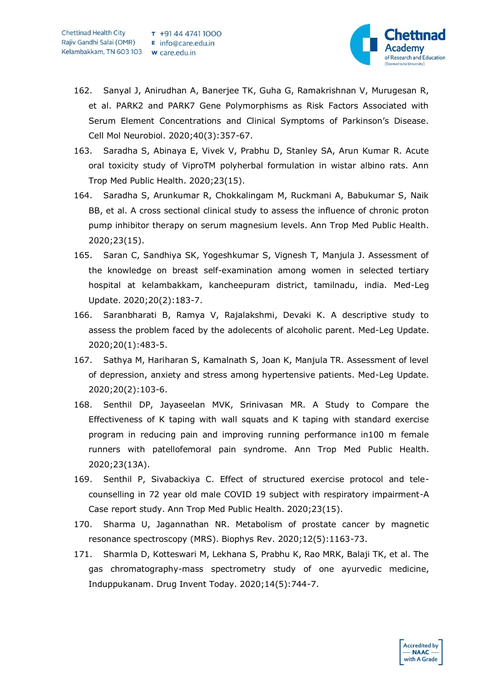

- 162. Sanyal J, Anirudhan A, Banerjee TK, Guha G, Ramakrishnan V, Murugesan R, et al. PARK2 and PARK7 Gene Polymorphisms as Risk Factors Associated with Serum Element Concentrations and Clinical Symptoms of Parkinson's Disease. Cell Mol Neurobiol. 2020;40(3):357-67.
- 163. Saradha S, Abinaya E, Vivek V, Prabhu D, Stanley SA, Arun Kumar R. Acute oral toxicity study of ViproTM polyherbal formulation in wistar albino rats. Ann Trop Med Public Health. 2020;23(15).
- 164. Saradha S, Arunkumar R, Chokkalingam M, Ruckmani A, Babukumar S, Naik BB, et al. A cross sectional clinical study to assess the influence of chronic proton pump inhibitor therapy on serum magnesium levels. Ann Trop Med Public Health. 2020;23(15).
- 165. Saran C, Sandhiya SK, Yogeshkumar S, Vignesh T, Manjula J. Assessment of the knowledge on breast self-examination among women in selected tertiary hospital at kelambakkam, kancheepuram district, tamilnadu, india. Med-Leg Update. 2020;20(2):183-7.
- 166. Saranbharati B, Ramya V, Rajalakshmi, Devaki K. A descriptive study to assess the problem faced by the adolecents of alcoholic parent. Med-Leg Update. 2020;20(1):483-5.
- 167. Sathya M, Hariharan S, Kamalnath S, Joan K, Manjula TR. Assessment of level of depression, anxiety and stress among hypertensive patients. Med-Leg Update. 2020;20(2):103-6.
- 168. Senthil DP, Jayaseelan MVK, Srinivasan MR. A Study to Compare the Effectiveness of K taping with wall squats and K taping with standard exercise program in reducing pain and improving running performance in100 m female runners with patellofemoral pain syndrome. Ann Trop Med Public Health. 2020;23(13A).
- 169. Senthil P, Sivabackiya C. Effect of structured exercise protocol and telecounselling in 72 year old male COVID 19 subject with respiratory impairment-A Case report study. Ann Trop Med Public Health. 2020;23(15).
- 170. Sharma U, Jagannathan NR. Metabolism of prostate cancer by magnetic resonance spectroscopy (MRS). Biophys Rev. 2020;12(5):1163-73.
- 171. Sharmla D, Kotteswari M, Lekhana S, Prabhu K, Rao MRK, Balaji TK, et al. The gas chromatography-mass spectrometry study of one ayurvedic medicine, Induppukanam. Drug Invent Today. 2020;14(5):744-7.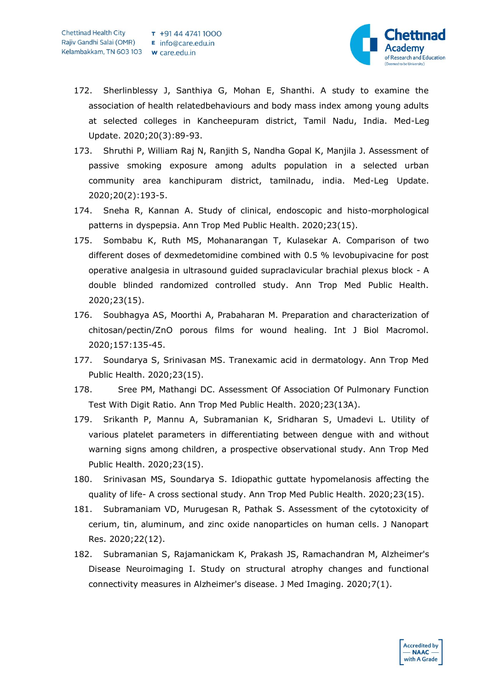

- 172. Sherlinblessy J, Santhiya G, Mohan E, Shanthi. A study to examine the association of health relatedbehaviours and body mass index among young adults at selected colleges in Kancheepuram district, Tamil Nadu, India. Med-Leg Update. 2020;20(3):89-93.
- 173. Shruthi P, William Raj N, Ranjith S, Nandha Gopal K, Manjila J. Assessment of passive smoking exposure among adults population in a selected urban community area kanchipuram district, tamilnadu, india. Med-Leg Update. 2020;20(2):193-5.
- 174. Sneha R, Kannan A. Study of clinical, endoscopic and histo-morphological patterns in dyspepsia. Ann Trop Med Public Health. 2020;23(15).
- 175. Sombabu K, Ruth MS, Mohanarangan T, Kulasekar A. Comparison of two different doses of dexmedetomidine combined with 0.5 % levobupivacine for post operative analgesia in ultrasound guided supraclavicular brachial plexus block - A double blinded randomized controlled study. Ann Trop Med Public Health. 2020;23(15).
- 176. Soubhagya AS, Moorthi A, Prabaharan M. Preparation and characterization of chitosan/pectin/ZnO porous films for wound healing. Int J Biol Macromol. 2020;157:135-45.
- 177. Soundarya S, Srinivasan MS. Tranexamic acid in dermatology. Ann Trop Med Public Health. 2020;23(15).
- 178. Sree PM, Mathangi DC. Assessment Of Association Of Pulmonary Function Test With Digit Ratio. Ann Trop Med Public Health. 2020;23(13A).
- 179. Srikanth P, Mannu A, Subramanian K, Sridharan S, Umadevi L. Utility of various platelet parameters in differentiating between dengue with and without warning signs among children, a prospective observational study. Ann Trop Med Public Health. 2020;23(15).
- 180. Srinivasan MS, Soundarya S. Idiopathic guttate hypomelanosis affecting the quality of life- A cross sectional study. Ann Trop Med Public Health. 2020;23(15).
- 181. Subramaniam VD, Murugesan R, Pathak S. Assessment of the cytotoxicity of cerium, tin, aluminum, and zinc oxide nanoparticles on human cells. J Nanopart Res. 2020;22(12).
- 182. Subramanian S, Rajamanickam K, Prakash JS, Ramachandran M, Alzheimer's Disease Neuroimaging I. Study on structural atrophy changes and functional connectivity measures in Alzheimer's disease. J Med Imaging. 2020;7(1).

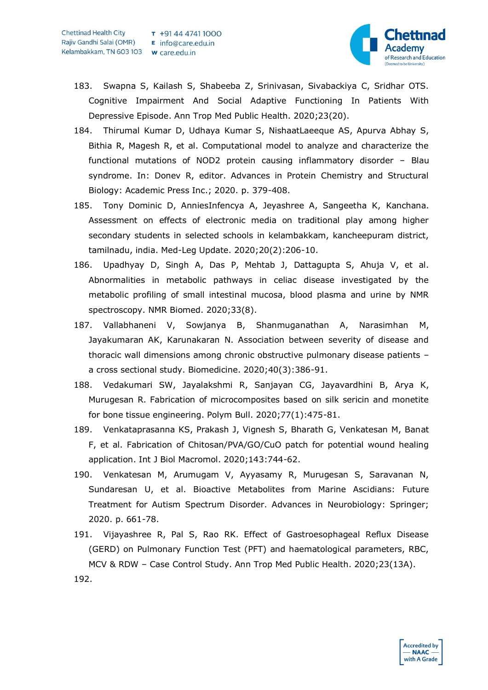

- 183. Swapna S, Kailash S, Shabeeba Z, Srinivasan, Sivabackiya C, Sridhar OTS. Cognitive Impairment And Social Adaptive Functioning In Patients With Depressive Episode. Ann Trop Med Public Health. 2020;23(20).
- 184. Thirumal Kumar D, Udhaya Kumar S, NishaatLaeeque AS, Apurva Abhay S, Bithia R, Magesh R, et al. Computational model to analyze and characterize the functional mutations of NOD2 protein causing inflammatory disorder – Blau syndrome. In: Donev R, editor. Advances in Protein Chemistry and Structural Biology: Academic Press Inc.; 2020. p. 379-408.
- 185. Tony Dominic D, AnniesInfencya A, Jeyashree A, Sangeetha K, Kanchana. Assessment on effects of electronic media on traditional play among higher secondary students in selected schools in kelambakkam, kancheepuram district, tamilnadu, india. Med-Leg Update. 2020;20(2):206-10.
- 186. Upadhyay D, Singh A, Das P, Mehtab J, Dattagupta S, Ahuja V, et al. Abnormalities in metabolic pathways in celiac disease investigated by the metabolic profiling of small intestinal mucosa, blood plasma and urine by NMR spectroscopy. NMR Biomed. 2020;33(8).
- 187. Vallabhaneni V, Sowjanya B, Shanmuganathan A, Narasimhan M, Jayakumaran AK, Karunakaran N. Association between severity of disease and thoracic wall dimensions among chronic obstructive pulmonary disease patients – a cross sectional study. Biomedicine. 2020;40(3):386-91.
- 188. Vedakumari SW, Jayalakshmi R, Sanjayan CG, Jayavardhini B, Arya K, Murugesan R. Fabrication of microcomposites based on silk sericin and monetite for bone tissue engineering. Polym Bull. 2020;77(1):475-81.
- 189. Venkataprasanna KS, Prakash J, Vignesh S, Bharath G, Venkatesan M, Banat F, et al. Fabrication of Chitosan/PVA/GO/CuO patch for potential wound healing application. Int J Biol Macromol. 2020;143:744-62.
- 190. Venkatesan M, Arumugam V, Ayyasamy R, Murugesan S, Saravanan N, Sundaresan U, et al. Bioactive Metabolites from Marine Ascidians: Future Treatment for Autism Spectrum Disorder. Advances in Neurobiology: Springer; 2020. p. 661-78.
- 191. Vijayashree R, Pal S, Rao RK. Effect of Gastroesophageal Reflux Disease (GERD) on Pulmonary Function Test (PFT) and haematological parameters, RBC, MCV & RDW – Case Control Study. Ann Trop Med Public Health. 2020;23(13A).

192.

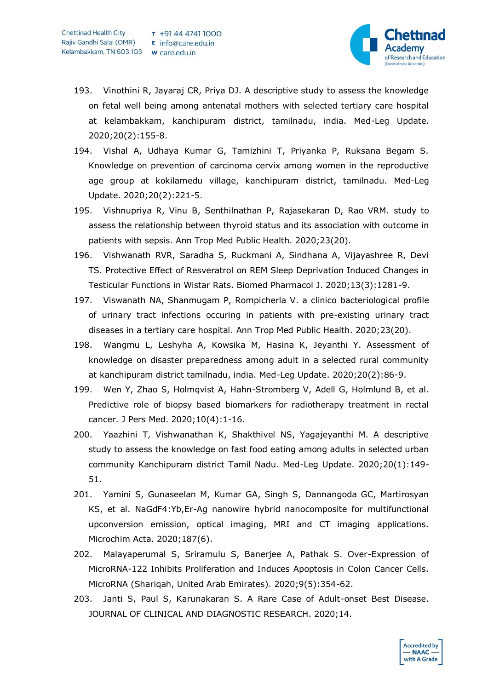

- 193. Vinothini R, Jayaraj CR, Priya DJ. A descriptive study to assess the knowledge on fetal well being among antenatal mothers with selected tertiary care hospital at kelambakkam, kanchipuram district, tamilnadu, india. Med-Leg Update. 2020;20(2):155-8.
- 194. Vishal A, Udhaya Kumar G, Tamizhini T, Priyanka P, Ruksana Begam S. Knowledge on prevention of carcinoma cervix among women in the reproductive age group at kokilamedu village, kanchipuram district, tamilnadu. Med-Leg Update. 2020;20(2):221-5.
- 195. Vishnupriya R, Vinu B, Senthilnathan P, Rajasekaran D, Rao VRM. study to assess the relationship between thyroid status and its association with outcome in patients with sepsis. Ann Trop Med Public Health. 2020;23(20).
- 196. Vishwanath RVR, Saradha S, Ruckmani A, Sindhana A, Vijayashree R, Devi TS. Protective Effect of Resveratrol on REM Sleep Deprivation Induced Changes in Testicular Functions in Wistar Rats. Biomed Pharmacol J. 2020;13(3):1281-9.
- 197. Viswanath NA, Shanmugam P, Rompicherla V. a clinico bacteriological profile of urinary tract infections occuring in patients with pre-existing urinary tract diseases in a tertiary care hospital. Ann Trop Med Public Health. 2020;23(20).
- 198. Wangmu L, Leshyha A, Kowsika M, Hasina K, Jeyanthi Y. Assessment of knowledge on disaster preparedness among adult in a selected rural community at kanchipuram district tamilnadu, india. Med-Leg Update. 2020;20(2):86-9.
- 199. Wen Y, Zhao S, Holmqvist A, Hahn-Stromberg V, Adell G, Holmlund B, et al. Predictive role of biopsy based biomarkers for radiotherapy treatment in rectal cancer. J Pers Med. 2020;10(4):1-16.
- 200. Yaazhini T, Vishwanathan K, Shakthivel NS, Yagajeyanthi M. A descriptive study to assess the knowledge on fast food eating among adults in selected urban community Kanchipuram district Tamil Nadu. Med-Leg Update. 2020;20(1):149- 51.
- 201. Yamini S, Gunaseelan M, Kumar GA, Singh S, Dannangoda GC, Martirosyan KS, et al. NaGdF4:Yb,Er-Ag nanowire hybrid nanocomposite for multifunctional upconversion emission, optical imaging, MRI and CT imaging applications. Microchim Acta. 2020;187(6).
- 202. Malayaperumal S, Sriramulu S, Banerjee A, Pathak S. Over-Expression of MicroRNA-122 Inhibits Proliferation and Induces Apoptosis in Colon Cancer Cells. MicroRNA (Shariqah, United Arab Emirates). 2020;9(5):354-62.
- 203. Janti S, Paul S, Karunakaran S. A Rare Case of Adult-onset Best Disease. JOURNAL OF CLINICAL AND DIAGNOSTIC RESEARCH. 2020;14.

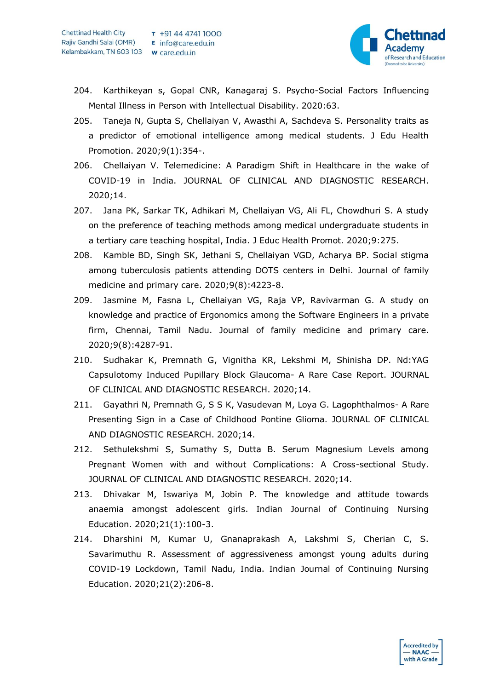

- 204. Karthikeyan s, Gopal CNR, Kanagaraj S. Psycho-Social Factors Influencing Mental Illness in Person with Intellectual Disability. 2020:63.
- 205. Taneja N, Gupta S, Chellaiyan V, Awasthi A, Sachdeva S. Personality traits as a predictor of emotional intelligence among medical students. J Edu Health Promotion. 2020;9(1):354-.
- 206. Chellaiyan V. Telemedicine: A Paradigm Shift in Healthcare in the wake of COVID-19 in India. JOURNAL OF CLINICAL AND DIAGNOSTIC RESEARCH. 2020;14.
- 207. Jana PK, Sarkar TK, Adhikari M, Chellaiyan VG, Ali FL, Chowdhuri S. A study on the preference of teaching methods among medical undergraduate students in a tertiary care teaching hospital, India. J Educ Health Promot. 2020;9:275.
- 208. Kamble BD, Singh SK, Jethani S, Chellaiyan VGD, Acharya BP. Social stigma among tuberculosis patients attending DOTS centers in Delhi. Journal of family medicine and primary care. 2020;9(8):4223-8.
- 209. Jasmine M, Fasna L, Chellaiyan VG, Raja VP, Ravivarman G. A study on knowledge and practice of Ergonomics among the Software Engineers in a private firm, Chennai, Tamil Nadu. Journal of family medicine and primary care. 2020;9(8):4287-91.
- 210. Sudhakar K, Premnath G, Vignitha KR, Lekshmi M, Shinisha DP. Nd:YAG Capsulotomy Induced Pupillary Block Glaucoma- A Rare Case Report. JOURNAL OF CLINICAL AND DIAGNOSTIC RESEARCH. 2020;14.
- 211. Gayathri N, Premnath G, S S K, Vasudevan M, Loya G. Lagophthalmos- A Rare Presenting Sign in a Case of Childhood Pontine Glioma. JOURNAL OF CLINICAL AND DIAGNOSTIC RESEARCH. 2020;14.
- 212. Sethulekshmi S, Sumathy S, Dutta B. Serum Magnesium Levels among Pregnant Women with and without Complications: A Cross-sectional Study. JOURNAL OF CLINICAL AND DIAGNOSTIC RESEARCH. 2020;14.
- 213. Dhivakar M, Iswariya M, Jobin P. The knowledge and attitude towards anaemia amongst adolescent girls. Indian Journal of Continuing Nursing Education. 2020;21(1):100-3.
- 214. Dharshini M, Kumar U, Gnanaprakash A, Lakshmi S, Cherian C, S. Savarimuthu R. Assessment of aggressiveness amongst young adults during COVID-19 Lockdown, Tamil Nadu, India. Indian Journal of Continuing Nursing Education. 2020;21(2):206-8.